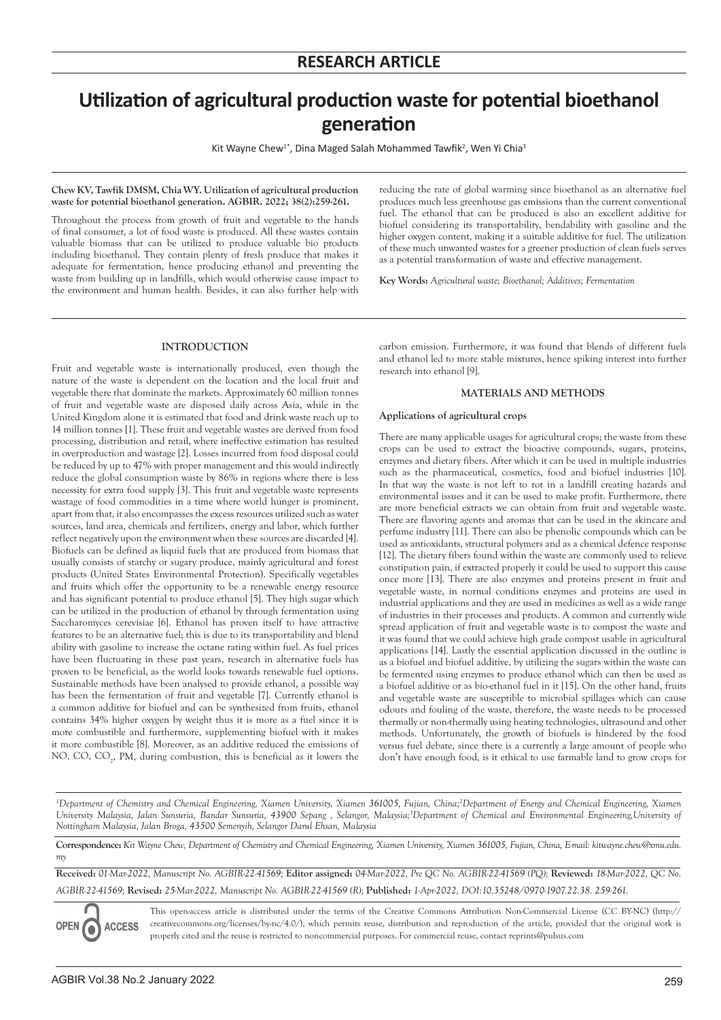# **Utilization of agricultural production waste for potential bioethanol generation**

Kit Wayne Chew<sup>1\*</sup>, Dina Maged Salah Mohammed Tawfik<sup>2</sup>, Wen Yi Chia<sup>3</sup>

#### **Chew KV, Tawfik DMSM, Chia WY. Utilization of agricultural production waste for potential bioethanol generation. AGBIR. 2022; 38(2):259-261.**

Throughout the process from growth of fruit and vegetable to the hands of final consumer, a lot of food waste is produced. All these wastes contain valuable biomass that can be utilized to produce valuable bio products including bioethanol. They contain plenty of fresh produce that makes it adequate for fermentation, hence producing ethanol and preventing the waste from building up in landfills, which would otherwise cause impact to the environment and human health. Besides, it can also further help with

reducing the rate of global warming since bioethanol as an alternative fuel produces much less greenhouse gas emissions than the current conventional fuel. The ethanol that can be produced is also an excellent additive for biofuel considering its transportability, bendability with gasoline and the higher oxygen content, making it a suitable additive for fuel. The utilization of these much unwanted wastes for a greener production of clean fuels serves as a potential transformation of waste and effective management.

**Key Words:** *Agricultural waste; Bioethanol; Additives; Fermentation*

# **INTRODUCTION**

Fruit and vegetable waste is internationally produced, even though the nature of the waste is dependent on the location and the local fruit and vegetable there that dominate the markets. Approximately 60 million tonnes of fruit and vegetable waste are disposed daily across Asia, while in the United Kingdom alone it is estimated that food and drink waste reach up to 14 million tonnes [1]. These fruit and vegetable wastes are derived from food processing, distribution and retail, where ineffective estimation has resulted in overproduction and wastage [2]. Losses incurred from food disposal could be reduced by up to 47% with proper management and this would indirectly reduce the global consumption waste by 86% in regions where there is less necessity for extra food supply [3]. This fruit and vegetable waste represents wastage of food commodities in a time where world hunger is prominent, apart from that, it also encompasses the excess resources utilized such as water sources, land area, chemicals and fertilizers, energy and labor, which further reflect negatively upon the environment when these sources are discarded [4]. Biofuels can be defined as liquid fuels that are produced from biomass that usually consists of starchy or sugary produce, mainly agricultural and forest products (United States Environmental Protection). Specifically vegetables and fruits which offer the opportunity to be a renewable energy resource and has significant potential to produce ethanol [5]. They high sugar which can be utilized in the production of ethanol by through fermentation using Saccharomyces cerevisiae [6]. Ethanol has proven itself to have attractive features to be an alternative fuel; this is due to its transportability and blend ability with gasoline to increase the octane rating within fuel. As fuel prices have been fluctuating in these past years, research in alternative fuels has proven to be beneficial, as the world looks towards renewable fuel options. Sustainable methods have been analysed to provide ethanol, a possible way has been the fermentation of fruit and vegetable [7]. Currently ethanol is a common additive for biofuel and can be synthesized from fruits, ethanol contains 34% higher oxygen by weight thus it is more as a fuel since it is more combustible and furthermore, supplementing biofuel with it makes it more combustible [8]. Moreover, as an additive reduced the emissions of NO, CO, CO<sub>2</sub>, PM, during combustion, this is beneficial as it lowers the

carbon emission. Furthermore, it was found that blends of different fuels and ethanol led to more stable mixtures, hence spiking interest into further research into ethanol [9].

# **MATERIALS AND METHODS**

#### **Applications of agricultural crops**

There are many applicable usages for agricultural crops; the waste from these crops can be used to extract the bioactive compounds, sugars, proteins, enzymes and dietary fibers. After which it can be used in multiple industries such as the pharmaceutical, cosmetics, food and biofuel industries [10]. In that way the waste is not left to rot in a landfill creating hazards and environmental issues and it can be used to make profit. Furthermore, there are more beneficial extracts we can obtain from fruit and vegetable waste. There are flavoring agents and aromas that can be used in the skincare and perfume industry [11]. There can also be phenolic compounds which can be used as antioxidants, structural polymers and as a chemical defence response [12]. The dietary fibers found within the waste are commonly used to relieve constipation pain, if extracted properly it could be used to support this cause once more [13]. There are also enzymes and proteins present in fruit and vegetable waste, in normal conditions enzymes and proteins are used in industrial applications and they are used in medicines as well as a wide range of industries in their processes and products. A common and currently wide spread application of fruit and vegetable waste is to compost the waste and it was found that we could achieve high grade compost usable in agricultural applications [14]. Lastly the essential application discussed in the outline is as a biofuel and biofuel additive, by utilizing the sugars within the waste can be fermented using enzymes to produce ethanol which can then be used as a biofuel additive or as bio-ethanol fuel in it [15]. On the other hand, fruits and vegetable waste are susceptible to microbial spillages which can cause odours and fouling of the waste, therefore, the waste needs to be processed thermally or non-thermally using heating technologies, ultrasound and other methods. Unfortunately, the growth of biofuels is hindered by the food versus fuel debate, since there is a currently a large amount of people who don't have enough food, is it ethical to use farmable land to grow crops for

*<sup>1</sup>Department of Chemistry and Chemical Engineering, Xiamen University, Xiamen 361005, Fujian, China;<sup>2</sup>Department of Energy and Chemical Engineering, Xiamen University Malaysia, Jalan Sunsuria, Bandar Sunsuria, 43900 Sepang , Selangor, Malaysia;3 Department of Chemical and Environmental Engineering,University of Nottingham Malaysia, Jalan Broga, 43500 Semenyih, Selangor Darul Ehsan, Malaysia* 

**Correspondence:** *Kit Wayne Chew, Department of Chemistry and Chemical Engineering, Xiamen University, Xiamen 361005, Fujian, China, E-mail: kitwayne.chew@xmu.edu. my*

**Received:** *01-Mar-2022, Manuscript No. AGBIR-22-41569;* **Editor assigned:** *04-Mar-2022, Pre QC No. AGBIR-22-41569 (PQ);* **Reviewed:** *18-Mar-2022, QC No. AGBIR-22-41569;* **Revised:** *25-Mar-2022, Manuscript No. AGBIR-22-41569 (R);* **Published:** *1-Apr-2022, DOI:10.35248/0970-1907.22.38. 259-261.*



This open-access article is distributed under the terms of the Creative Commons Attribution Non-Commercial License (CC BY-NC) (http:// creativecommons.org/licenses/by-nc/4.0/), which permits reuse, distribution and reproduction of the article, provided that the original work is properly cited and the reuse is restricted to noncommercial purposes. For commercial reuse, contact reprints@pulsus.com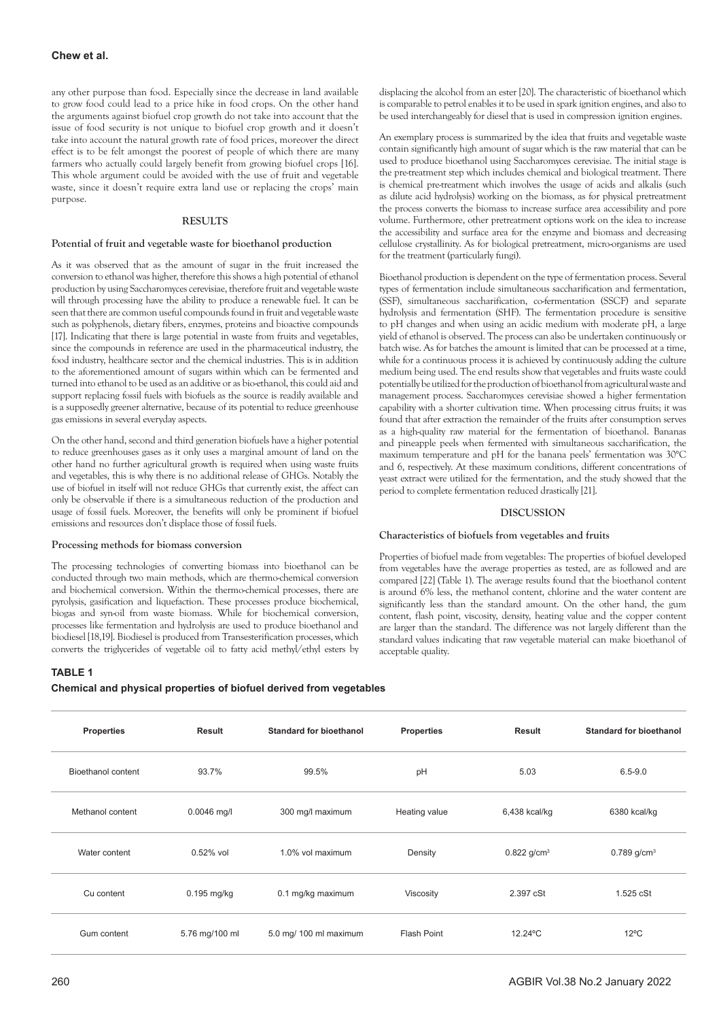any other purpose than food. Especially since the decrease in land available to grow food could lead to a price hike in food crops. On the other hand the arguments against biofuel crop growth do not take into account that the issue of food security is not unique to biofuel crop growth and it doesn't take into account the natural growth rate of food prices, moreover the direct effect is to be felt amongst the poorest of people of which there are many farmers who actually could largely benefit from growing biofuel crops [16]. This whole argument could be avoided with the use of fruit and vegetable waste, since it doesn't require extra land use or replacing the crops' main purpose.

### **RESULTS**

## **Potential of fruit and vegetable waste for bioethanol production**

As it was observed that as the amount of sugar in the fruit increased the conversion to ethanol was higher, therefore this shows a high potential of ethanol production by using Saccharomyces cerevisiae, therefore fruit and vegetable waste will through processing have the ability to produce a renewable fuel. It can be seen that there are common useful compounds found in fruit and vegetable waste such as polyphenols, dietary fibers, enzymes, proteins and bioactive compounds [17]. Indicating that there is large potential in waste from fruits and vegetables, since the compounds in reference are used in the pharmaceutical industry, the food industry, healthcare sector and the chemical industries. This is in addition to the aforementioned amount of sugars within which can be fermented and turned into ethanol to be used as an additive or as bio-ethanol, this could aid and support replacing fossil fuels with biofuels as the source is readily available and is a supposedly greener alternative, because of its potential to reduce greenhouse gas emissions in several everyday aspects.

On the other hand, second and third generation biofuels have a higher potential to reduce greenhouses gases as it only uses a marginal amount of land on the other hand no further agricultural growth is required when using waste fruits and vegetables, this is why there is no additional release of GHGs. Notably the use of biofuel in itself will not reduce GHGs that currently exist, the affect can only be observable if there is a simultaneous reduction of the production and usage of fossil fuels. Moreover, the benefits will only be prominent if biofuel emissions and resources don't displace those of fossil fuels.

# **Processing methods for biomass conversion**

The processing technologies of converting biomass into bioethanol can be conducted through two main methods, which are thermo-chemical conversion and biochemical conversion. Within the thermo-chemical processes, there are pyrolysis, gasification and liquefaction. These processes produce biochemical, biogas and syn-oil from waste biomass. While for biochemical conversion, processes like fermentation and hydrolysis are used to produce bioethanol and biodiesel [18,19]. Biodiesel is produced from Transesterification processes, which converts the triglycerides of vegetable oil to fatty acid methyl/ethyl esters by

# **TABLE 1**

**Chemical and physical properties of biofuel derived from vegetables** 

displacing the alcohol from an ester [20]. The characteristic of bioethanol which is comparable to petrol enables it to be used in spark ignition engines, and also to be used interchangeably for diesel that is used in compression ignition engines.

An exemplary process is summarized by the idea that fruits and vegetable waste contain significantly high amount of sugar which is the raw material that can be used to produce bioethanol using Saccharomyces cerevisiae. The initial stage is the pre-treatment step which includes chemical and biological treatment. There is chemical pre-treatment which involves the usage of acids and alkalis (such as dilute acid hydrolysis) working on the biomass, as for physical pretreatment the process converts the biomass to increase surface area accessibility and pore volume. Furthermore, other pretreatment options work on the idea to increase the accessibility and surface area for the enzyme and biomass and decreasing cellulose crystallinity. As for biological pretreatment, micro-organisms are used for the treatment (particularly fungi).

Bioethanol production is dependent on the type of fermentation process. Several types of fermentation include simultaneous saccharification and fermentation, (SSF), simultaneous saccharification, co-fermentation (SSCF) and separate hydrolysis and fermentation (SHF). The fermentation procedure is sensitive to pH changes and when using an acidic medium with moderate pH, a large yield of ethanol is observed. The process can also be undertaken continuously or batch wise. As for batches the amount is limited that can be processed at a time, while for a continuous process it is achieved by continuously adding the culture medium being used. The end results show that vegetables and fruits waste could potentially be utilized for the production of bioethanol from agricultural waste and management process. Saccharomyces cerevisiae showed a higher fermentation capability with a shorter cultivation time. When processing citrus fruits; it was found that after extraction the remainder of the fruits after consumption serves as a high-quality raw material for the fermentation of bioethanol. Bananas and pineapple peels when fermented with simultaneous saccharification, the maximum temperature and pH for the banana peels' fermentation was 30°C and 6, respectively. At these maximum conditions, different concentrations of yeast extract were utilized for the fermentation, and the study showed that the period to complete fermentation reduced drastically [21].

## **DISCUSSION**

# **Characteristics of biofuels from vegetables and fruits**

Properties of biofuel made from vegetables: The properties of biofuel developed from vegetables have the average properties as tested, are as followed and are compared [22] (Table 1). The average results found that the bioethanol content is around 6% less, the methanol content, chlorine and the water content are significantly less than the standard amount. On the other hand, the gum content, flash point, viscosity, density, heating value and the copper content are larger than the standard. The difference was not largely different than the standard values indicating that raw vegetable material can make bioethanol of acceptable quality.

| <b>Properties</b>         | Result         | <b>Standard for bioethanol</b> | <b>Properties</b>  | <b>Result</b>             | Standard for bioethanol   |
|---------------------------|----------------|--------------------------------|--------------------|---------------------------|---------------------------|
| <b>Bioethanol content</b> | 93.7%          | 99.5%                          | pH                 | 5.03                      | $6.5 - 9.0$               |
| Methanol content          | $0.0046$ mg/l  | 300 mg/l maximum               | Heating value      | $6,438$ kcal/kg           | 6380 kcal/kg              |
| Water content             | $0.52%$ vol    | 1.0% vol maximum               | Density            | $0.822$ g/cm <sup>3</sup> | $0.789$ g/cm <sup>3</sup> |
| Cu content                | $0.195$ mg/kg  | 0.1 mg/kg maximum              | Viscosity          | 2.397 cSt                 | 1.525 cSt                 |
| Gum content               | 5.76 mg/100 ml | 5.0 mg/ 100 ml maximum         | <b>Flash Point</b> | 12.24°C                   | $12^{\circ}$ C            |